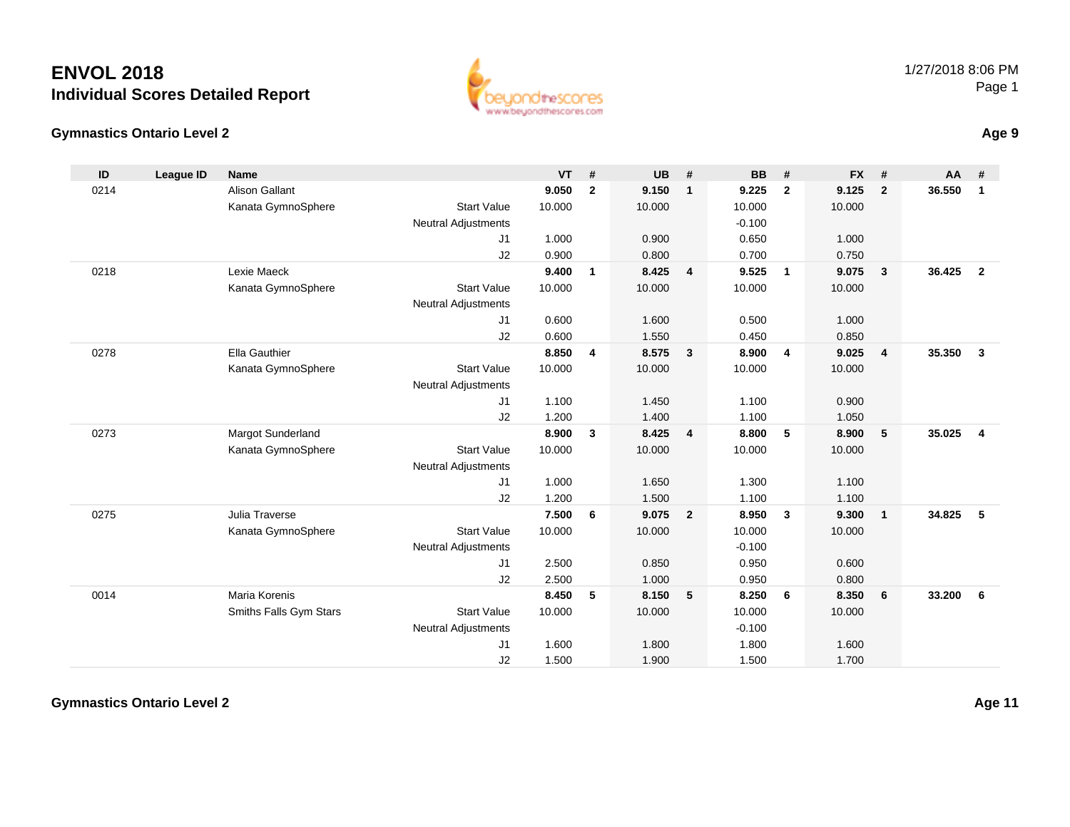



**Age 9**

| ID   | <b>League ID</b> | <b>Name</b>            |                            | <b>VT</b> | #            | <b>UB</b> | #                        | <b>BB</b> | #                       | <b>FX</b> | #                       | <b>AA</b> | #                       |
|------|------------------|------------------------|----------------------------|-----------|--------------|-----------|--------------------------|-----------|-------------------------|-----------|-------------------------|-----------|-------------------------|
| 0214 |                  | <b>Alison Gallant</b>  |                            | 9.050     | $\mathbf{2}$ | 9.150     | $\mathbf{1}$             | 9.225     | $\overline{2}$          | 9.125     | $\overline{2}$          | 36.550    | $\mathbf{1}$            |
|      |                  | Kanata GymnoSphere     | <b>Start Value</b>         | 10.000    |              | 10.000    |                          | 10.000    |                         | 10.000    |                         |           |                         |
|      |                  |                        | <b>Neutral Adjustments</b> |           |              |           |                          | $-0.100$  |                         |           |                         |           |                         |
|      |                  |                        | J1                         | 1.000     |              | 0.900     |                          | 0.650     |                         | 1.000     |                         |           |                         |
|      |                  |                        | J2                         | 0.900     |              | 0.800     |                          | 0.700     |                         | 0.750     |                         |           |                         |
| 0218 |                  | Lexie Maeck            |                            | 9.400     | $\mathbf{1}$ | 8.425     | $\overline{4}$           | 9.525     | $\overline{\mathbf{1}}$ | 9.075     | $\mathbf{3}$            | 36.425    | $\overline{2}$          |
|      |                  | Kanata GymnoSphere     | <b>Start Value</b>         | 10.000    |              | 10.000    |                          | 10.000    |                         | 10.000    |                         |           |                         |
|      |                  |                        | <b>Neutral Adjustments</b> |           |              |           |                          |           |                         |           |                         |           |                         |
|      |                  |                        | J1                         | 0.600     |              | 1.600     |                          | 0.500     |                         | 1.000     |                         |           |                         |
|      |                  |                        | J2                         | 0.600     |              | 1.550     |                          | 0.450     |                         | 0.850     |                         |           |                         |
| 0278 |                  | <b>Ella Gauthier</b>   |                            | 8.850     | 4            | 8.575     | $\overline{\mathbf{3}}$  | 8.900     | $\overline{4}$          | 9.025     | $\overline{\mathbf{4}}$ | 35.350    | $\overline{\mathbf{3}}$ |
|      |                  | Kanata GymnoSphere     | <b>Start Value</b>         | 10.000    |              | 10.000    |                          | 10.000    |                         | 10.000    |                         |           |                         |
|      |                  |                        | Neutral Adjustments        |           |              |           |                          |           |                         |           |                         |           |                         |
|      |                  |                        | J1                         | 1.100     |              | 1.450     |                          | 1.100     |                         | 0.900     |                         |           |                         |
|      |                  |                        | J2                         | 1.200     |              | 1.400     |                          | 1.100     |                         | 1.050     |                         |           |                         |
| 0273 |                  | Margot Sunderland      |                            | 8.900     | 3            | 8.425     | $\overline{4}$           | 8.800     | 5                       | 8.900     | 5                       | 35.025    | $\overline{4}$          |
|      |                  | Kanata GymnoSphere     | <b>Start Value</b>         | 10.000    |              | 10.000    |                          | 10.000    |                         | 10.000    |                         |           |                         |
|      |                  |                        | <b>Neutral Adjustments</b> |           |              |           |                          |           |                         |           |                         |           |                         |
|      |                  |                        | J1                         | 1.000     |              | 1.650     |                          | 1.300     |                         | 1.100     |                         |           |                         |
|      |                  |                        | J2                         | 1.200     |              | 1.500     |                          | 1.100     |                         | 1.100     |                         |           |                         |
| 0275 |                  | Julia Traverse         |                            | 7.500     | 6            | 9.075     | $\overline{\mathbf{2}}$  | 8.950     | $\mathbf{3}$            | 9.300     | $\mathbf{1}$            | 34.825    | 5                       |
|      |                  | Kanata GymnoSphere     | <b>Start Value</b>         | 10.000    |              | 10.000    |                          | 10.000    |                         | 10.000    |                         |           |                         |
|      |                  |                        | <b>Neutral Adjustments</b> |           |              |           |                          | $-0.100$  |                         |           |                         |           |                         |
|      |                  |                        | J1                         | 2.500     |              | 0.850     |                          | 0.950     |                         | 0.600     |                         |           |                         |
|      |                  |                        | J2                         | 2.500     |              | 1.000     |                          | 0.950     |                         | 0.800     |                         |           |                         |
| 0014 |                  | <b>Maria Korenis</b>   |                            | 8.450     | 5            | 8.150     | $\overline{\phantom{0}}$ | 8.250     | 6                       | 8.350     | 6                       | 33.200    | 6                       |
|      |                  | Smiths Falls Gym Stars | <b>Start Value</b>         | 10.000    |              | 10.000    |                          | 10.000    |                         | 10.000    |                         |           |                         |
|      |                  |                        | <b>Neutral Adjustments</b> |           |              |           |                          | $-0.100$  |                         |           |                         |           |                         |
|      |                  |                        | J1                         | 1.600     |              | 1.800     |                          | 1.800     |                         | 1.600     |                         |           |                         |
|      |                  |                        | J2                         | 1.500     |              | 1.900     |                          | 1.500     |                         | 1.700     |                         |           |                         |

**Gymnastics Ontario Level 2**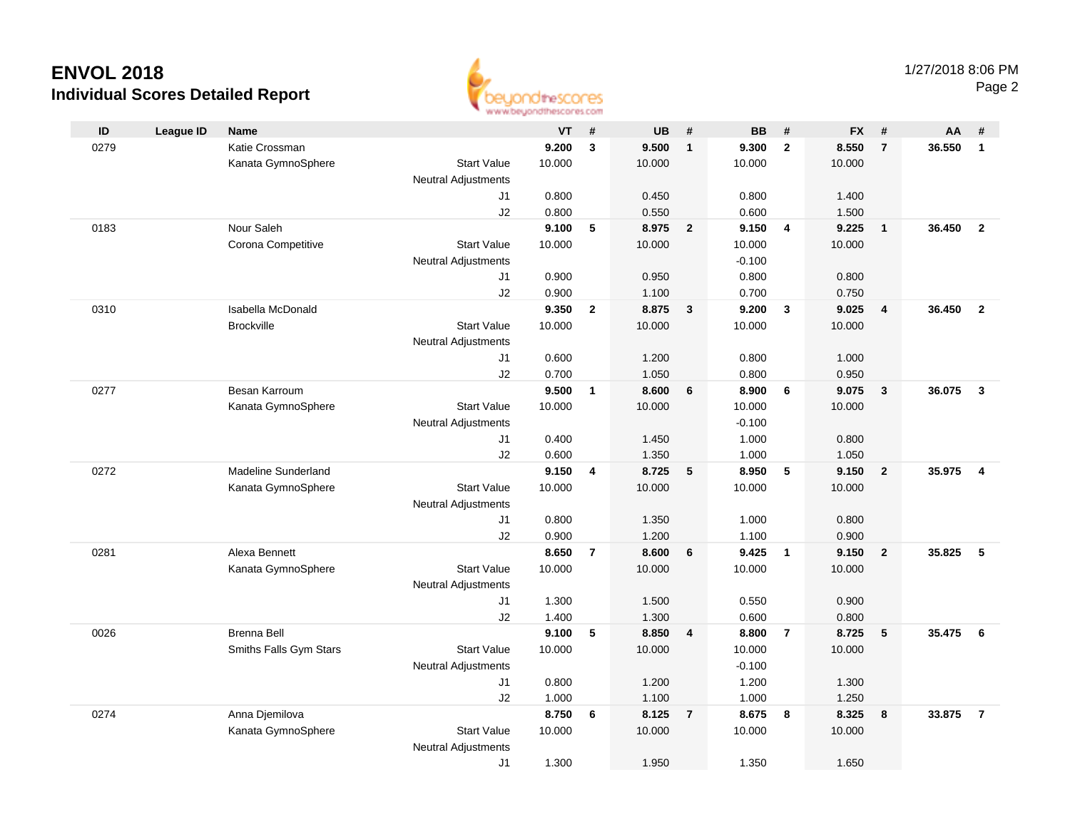

|      |                  |                        |                            | an an aaronadhuu uman sinast |                |                |                |                |                |                |                         |        |                         |
|------|------------------|------------------------|----------------------------|------------------------------|----------------|----------------|----------------|----------------|----------------|----------------|-------------------------|--------|-------------------------|
| ID   | <b>League ID</b> | Name                   |                            | VT                           | #              | <b>UB</b>      | #              | <b>BB</b>      | #              | <b>FX</b>      | #                       | AA     | #                       |
| 0279 |                  | Katie Crossman         |                            | 9.200                        | $\mathbf{3}$   | 9.500          | $\overline{1}$ | 9.300          | $\overline{2}$ | 8.550          | $\overline{7}$          | 36.550 | $\mathbf{1}$            |
|      |                  | Kanata GymnoSphere     | <b>Start Value</b>         | 10.000                       |                | 10.000         |                | 10.000         |                | 10.000         |                         |        |                         |
|      |                  |                        | <b>Neutral Adjustments</b> |                              |                |                |                |                |                |                |                         |        |                         |
|      |                  |                        | J1                         | 0.800                        |                | 0.450          |                | 0.800          |                | 1.400          |                         |        |                         |
|      |                  |                        | J2                         | 0.800                        |                | 0.550          |                | 0.600          |                | 1.500          |                         |        |                         |
| 0183 |                  | Nour Saleh             |                            | 9.100                        | 5              | 8.975          | $\overline{2}$ | 9.150          | $\overline{4}$ | 9.225          | $\overline{1}$          | 36.450 | $\overline{2}$          |
|      |                  | Corona Competitive     | <b>Start Value</b>         | 10.000                       |                | 10.000         |                | 10.000         |                | 10.000         |                         |        |                         |
|      |                  |                        | <b>Neutral Adjustments</b> |                              |                |                |                | $-0.100$       |                |                |                         |        |                         |
|      |                  |                        | J1                         | 0.900                        |                | 0.950          |                | 0.800          |                | 0.800          |                         |        |                         |
|      |                  |                        | J2                         | 0.900                        |                | 1.100          |                | 0.700          |                | 0.750          |                         |        |                         |
| 0310 |                  | Isabella McDonald      |                            | 9.350                        | $\mathbf{2}$   | 8.875          | $\mathbf{3}$   | 9.200          | $\mathbf{3}$   | 9.025          | $\overline{\mathbf{4}}$ | 36.450 | $\overline{2}$          |
|      |                  | <b>Brockville</b>      | <b>Start Value</b>         | 10.000                       |                | 10.000         |                | 10.000         |                | 10.000         |                         |        |                         |
|      |                  |                        | <b>Neutral Adjustments</b> |                              |                |                |                |                |                |                |                         |        |                         |
|      |                  |                        | J1                         | 0.600                        |                | 1.200          |                | 0.800          |                | 1.000          |                         |        |                         |
|      |                  |                        | J2                         | 0.700                        |                | 1.050          |                | 0.800          |                | 0.950          |                         |        |                         |
| 0277 |                  | Besan Karroum          |                            | 9.500                        | $\mathbf{1}$   | 8.600          | 6              | 8.900          | 6              | 9.075          | $\overline{\mathbf{3}}$ | 36.075 | $\overline{\mathbf{3}}$ |
|      |                  | Kanata GymnoSphere     | <b>Start Value</b>         | 10.000                       |                | 10.000         |                | 10.000         |                | 10.000         |                         |        |                         |
|      |                  |                        | <b>Neutral Adjustments</b> |                              |                |                |                | $-0.100$       |                |                |                         |        |                         |
|      |                  |                        | J1                         | 0.400                        |                | 1.450          |                | 1.000          |                | 0.800          |                         |        |                         |
|      |                  |                        | J2                         | 0.600                        |                | 1.350          |                | 1.000          |                | 1.050          |                         |        |                         |
| 0272 |                  | Madeline Sunderland    |                            | 9.150                        | 4              | 8.725          | 5              | 8.950          | 5              | 9.150          | $\overline{2}$          | 35.975 | $\overline{\mathbf{4}}$ |
|      |                  | Kanata GymnoSphere     | <b>Start Value</b>         | 10.000                       |                | 10.000         |                | 10.000         |                | 10.000         |                         |        |                         |
|      |                  |                        | <b>Neutral Adjustments</b> |                              |                |                |                |                |                |                |                         |        |                         |
|      |                  |                        | J1<br>J2                   | 0.800<br>0.900               |                | 1.350<br>1.200 |                | 1.000<br>1.100 |                | 0.800          |                         |        |                         |
| 0281 |                  | Alexa Bennett          |                            | 8.650                        | $\overline{7}$ | 8.600          | 6              | 9.425          | $\overline{1}$ | 0.900<br>9.150 | $\overline{2}$          | 35.825 | 5                       |
|      |                  | Kanata GymnoSphere     | <b>Start Value</b>         | 10.000                       |                | 10.000         |                | 10.000         |                | 10.000         |                         |        |                         |
|      |                  |                        | <b>Neutral Adjustments</b> |                              |                |                |                |                |                |                |                         |        |                         |
|      |                  |                        | J1                         | 1.300                        |                | 1.500          |                | 0.550          |                | 0.900          |                         |        |                         |
|      |                  |                        | J2                         | 1.400                        |                | 1.300          |                | 0.600          |                | 0.800          |                         |        |                         |
| 0026 |                  | <b>Brenna Bell</b>     |                            | 9.100                        | 5              | 8.850          | 4              | 8.800          | $\overline{7}$ | 8.725          | 5                       | 35.475 | 6                       |
|      |                  | Smiths Falls Gym Stars | <b>Start Value</b>         | 10.000                       |                | 10.000         |                | 10.000         |                | 10.000         |                         |        |                         |
|      |                  |                        | <b>Neutral Adjustments</b> |                              |                |                |                | $-0.100$       |                |                |                         |        |                         |
|      |                  |                        | J1                         | 0.800                        |                | 1.200          |                | 1.200          |                | 1.300          |                         |        |                         |
|      |                  |                        | J2                         | 1.000                        |                | 1.100          |                | 1.000          |                | 1.250          |                         |        |                         |
| 0274 |                  | Anna Djemilova         |                            | 8.750                        | 6              | 8.125          | $\overline{7}$ | 8.675          | 8              | 8.325          | 8                       | 33.875 | $\overline{7}$          |
|      |                  | Kanata GymnoSphere     | <b>Start Value</b>         | 10.000                       |                | 10.000         |                | 10.000         |                | 10.000         |                         |        |                         |
|      |                  |                        | <b>Neutral Adjustments</b> |                              |                |                |                |                |                |                |                         |        |                         |
|      |                  |                        | J1                         | 1.300                        |                | 1.950          |                | 1.350          |                | 1.650          |                         |        |                         |
|      |                  |                        |                            |                              |                |                |                |                |                |                |                         |        |                         |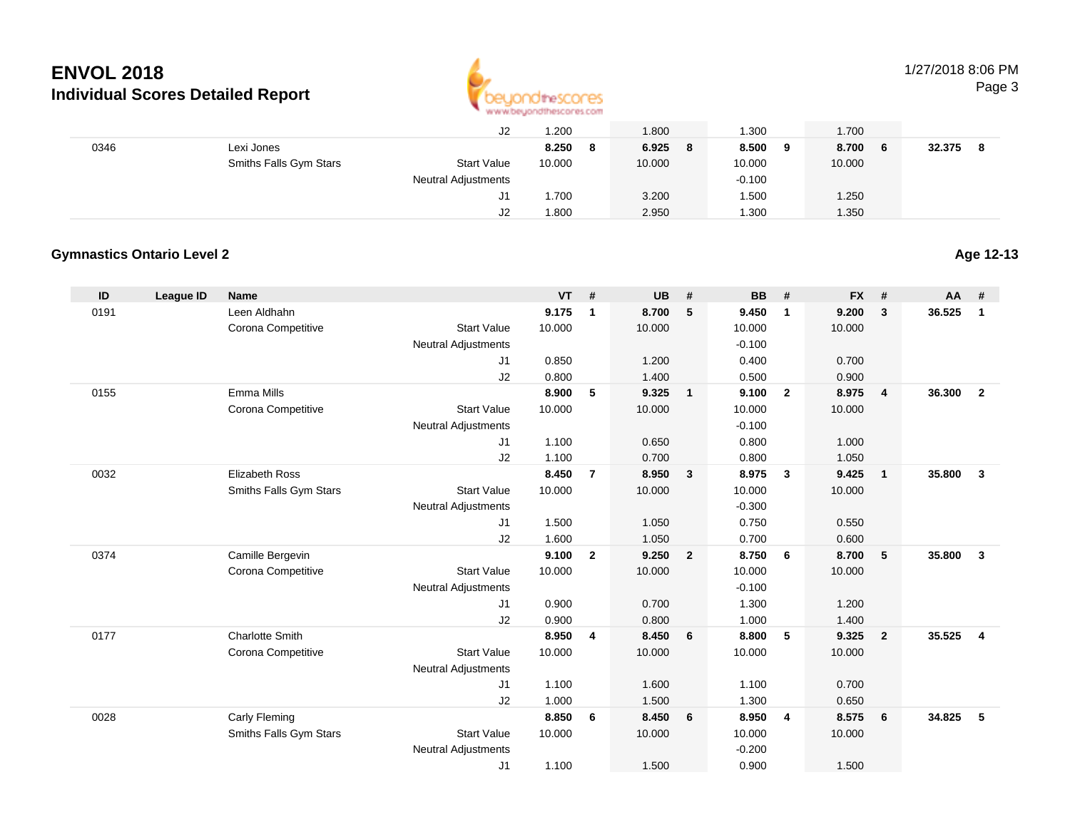

1/27/2018 8:06 PM

Page 3

|      |                        | J2                         | 1.200  |     | 1.800  | 1.300    |   | 1.700   |        |  |
|------|------------------------|----------------------------|--------|-----|--------|----------|---|---------|--------|--|
| 0346 | Lexi Jones             |                            | 8.250  | - 8 | 6.925  | 8.500    | 9 | 8.700 6 | 32.375 |  |
|      | Smiths Falls Gym Stars | <b>Start Value</b>         | 10.000 |     | 10.000 | 10.000   |   | 10.000  |        |  |
|      |                        | <b>Neutral Adjustments</b> |        |     |        | $-0.100$ |   |         |        |  |
|      |                        | J1                         | .700   |     | 3.200  | 500، ا   |   | 1.250   |        |  |
|      |                        | J2                         | 1.800  |     | 2.950  | 1.300    |   | 1.350   |        |  |

#### **Gymnastics Ontario Level 2**

| 0191<br>Leen Aldhahn<br>9.175<br>8.700<br>5<br>9.450<br>$\mathbf{1}$<br>$\overline{\mathbf{1}}$                               |                                  |                          |
|-------------------------------------------------------------------------------------------------------------------------------|----------------------------------|--------------------------|
|                                                                                                                               | 9.200<br>$\overline{\mathbf{3}}$ | 36.525<br>$\mathbf{1}$   |
| Corona Competitive<br><b>Start Value</b><br>10.000<br>10.000<br>10.000                                                        | 10.000                           |                          |
| $-0.100$<br><b>Neutral Adjustments</b>                                                                                        |                                  |                          |
| 0.850<br>1.200<br>0.400<br>J1                                                                                                 | 0.700                            |                          |
| J2<br>0.800<br>1.400<br>0.500                                                                                                 | 0.900                            |                          |
| Emma Mills<br>8.900<br>5<br>9.325<br>9.100<br>$\overline{2}$<br>0155<br>$\mathbf{1}$                                          | 8.975<br>$\overline{4}$          | 36,300<br>$\overline{2}$ |
| Corona Competitive<br>10.000<br>10.000<br>10.000<br><b>Start Value</b>                                                        | 10.000                           |                          |
| $-0.100$<br><b>Neutral Adjustments</b>                                                                                        |                                  |                          |
| J1<br>1.100<br>0.650<br>0.800                                                                                                 | 1.000                            |                          |
| 1.100<br>J2<br>0.700<br>0.800                                                                                                 | 1.050                            |                          |
| <b>Elizabeth Ross</b><br>8.450<br>$\overline{7}$<br>8.950<br>8.975<br>0032<br>$\mathbf{3}$<br>$\mathbf{3}$                    | 9.425<br>$\overline{1}$          | 35.800<br>$\mathbf{3}$   |
| Smiths Falls Gym Stars<br><b>Start Value</b><br>10.000<br>10.000<br>10.000                                                    | 10.000                           |                          |
| <b>Neutral Adjustments</b><br>$-0.300$                                                                                        |                                  |                          |
| 1.500<br>1.050<br>0.750<br>J1                                                                                                 | 0.550                            |                          |
| J2<br>1.600<br>1.050<br>0.700<br>9.250<br>0374<br>Camille Bergevin<br>9.100<br>$\overline{2}$<br>$\overline{2}$<br>8.750<br>6 | 0.600<br>8.700<br>5              | 35.800<br>$\mathbf{3}$   |
| Corona Competitive<br><b>Start Value</b><br>10.000<br>10.000<br>10.000                                                        | 10.000                           |                          |
| $-0.100$<br><b>Neutral Adjustments</b>                                                                                        |                                  |                          |
| 0.900<br>0.700<br>1.300<br>J1                                                                                                 | 1.200                            |                          |
| J2<br>0.900<br>0.800<br>1.000                                                                                                 | 1.400                            |                          |
| <b>Charlotte Smith</b><br>8.950<br>8.450<br>8.800<br>5<br>0177<br>4<br>6                                                      | 9.325<br>$\overline{2}$          | 35.525<br>$\overline{4}$ |
| <b>Start Value</b><br>Corona Competitive<br>10.000<br>10.000<br>10.000                                                        | 10.000                           |                          |
| <b>Neutral Adjustments</b>                                                                                                    |                                  |                          |
| 1.100<br>1.600<br>1.100<br>J1                                                                                                 | 0.700                            |                          |
| 1.500<br>J2<br>1.000<br>1.300                                                                                                 | 0.650                            |                          |
| 8.450<br>0028<br>Carly Fleming<br>8.850<br>8.950<br>6<br>- 6<br>$\overline{4}$                                                | 8.575<br>- 6                     | 34.825<br>5              |
| Smiths Falls Gym Stars<br><b>Start Value</b><br>10.000<br>10.000<br>10.000                                                    | 10.000                           |                          |
| $-0.200$<br><b>Neutral Adjustments</b>                                                                                        |                                  |                          |
| 1.100<br>J1<br>1.500<br>0.900                                                                                                 | 1.500                            |                          |

**Age 12-13**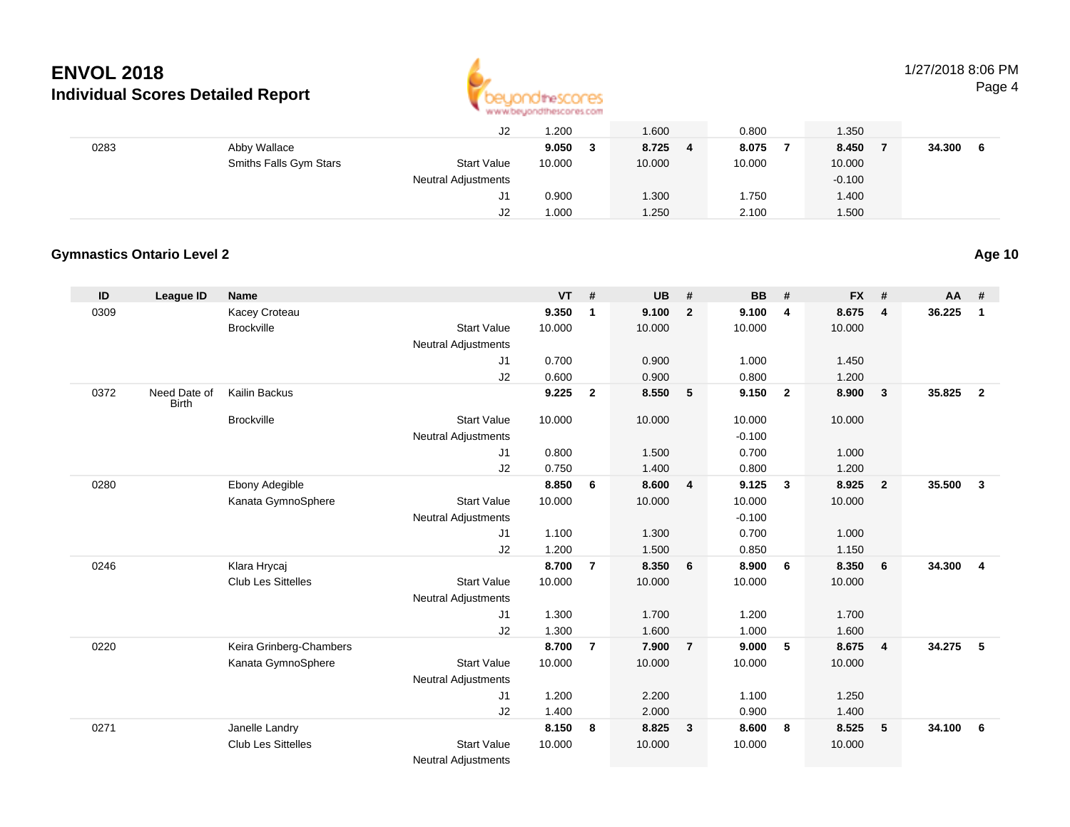

# 1/27/2018 8:06 PM

Page 4

|      |                        | J2                  | 1.200  | 1.600  | 0.800  | .350     |        |  |
|------|------------------------|---------------------|--------|--------|--------|----------|--------|--|
| 0283 | Abby Wallace           |                     | 9.050  | 8.725  | 8.075  | 8.450    | 34.300 |  |
|      | Smiths Falls Gym Stars | <b>Start Value</b>  | 10.000 | 10.000 | 10.000 | 10.000   |        |  |
|      |                        | Neutral Adjustments |        |        |        | $-0.100$ |        |  |
|      |                        | J1                  | 0.900  | 1.300  | .750   | 1.400    |        |  |
|      |                        | J2                  | 1.000  | 1.250  | 2.100  | .500     |        |  |

#### **Gymnastics Ontario Level 2**

| ID   | <b>League ID</b>             | Name                      |                            | <b>VT</b> | #              | <b>UB</b> | #                       | <b>BB</b> | #                       | <b>FX</b> | #              | <b>AA</b> | #                       |
|------|------------------------------|---------------------------|----------------------------|-----------|----------------|-----------|-------------------------|-----------|-------------------------|-----------|----------------|-----------|-------------------------|
| 0309 |                              | Kacey Croteau             |                            | 9.350     | $\mathbf 1$    | 9.100     | $\overline{2}$          | 9.100     | $\overline{4}$          | 8.675     | $\overline{4}$ | 36.225    | $\mathbf{1}$            |
|      |                              | <b>Brockville</b>         | <b>Start Value</b>         | 10.000    |                | 10.000    |                         | 10.000    |                         | 10.000    |                |           |                         |
|      |                              |                           | <b>Neutral Adjustments</b> |           |                |           |                         |           |                         |           |                |           |                         |
|      |                              |                           | J1                         | 0.700     |                | 0.900     |                         | 1.000     |                         | 1.450     |                |           |                         |
|      |                              |                           | J2                         | 0.600     |                | 0.900     |                         | 0.800     |                         | 1.200     |                |           |                         |
| 0372 | Need Date of<br><b>Birth</b> | Kailin Backus             |                            | 9.225     | $\overline{2}$ | 8.550     | 5                       | 9.150     | $\overline{\mathbf{2}}$ | 8.900     | $\mathbf{3}$   | 35.825    | $\overline{2}$          |
|      |                              | <b>Brockville</b>         | <b>Start Value</b>         | 10.000    |                | 10.000    |                         | 10.000    |                         | 10.000    |                |           |                         |
|      |                              |                           | <b>Neutral Adjustments</b> |           |                |           |                         | $-0.100$  |                         |           |                |           |                         |
|      |                              |                           | J1                         | 0.800     |                | 1.500     |                         | 0.700     |                         | 1.000     |                |           |                         |
|      |                              |                           | J2                         | 0.750     |                | 1.400     |                         | 0.800     |                         | 1.200     |                |           |                         |
| 0280 |                              | Ebony Adegible            |                            | 8.850     | 6              | 8.600     | $\overline{\mathbf{4}}$ | 9.125     | $\mathbf{3}$            | 8.925     | $\overline{2}$ | 35.500    | $\mathbf{3}$            |
|      |                              | Kanata GymnoSphere        | <b>Start Value</b>         | 10.000    |                | 10.000    |                         | 10.000    |                         | 10.000    |                |           |                         |
|      |                              |                           | <b>Neutral Adjustments</b> |           |                |           |                         | $-0.100$  |                         |           |                |           |                         |
|      |                              |                           | J <sub>1</sub>             | 1.100     |                | 1.300     |                         | 0.700     |                         | 1.000     |                |           |                         |
|      |                              |                           | J2                         | 1.200     |                | 1.500     |                         | 0.850     |                         | 1.150     |                |           |                         |
| 0246 |                              | Klara Hrycaj              |                            | 8.700     | $\overline{7}$ | 8.350     | 6                       | 8.900     | 6                       | 8.350     | 6              | 34.300    | $\overline{\mathbf{4}}$ |
|      |                              | <b>Club Les Sittelles</b> | <b>Start Value</b>         | 10.000    |                | 10.000    |                         | 10.000    |                         | 10.000    |                |           |                         |
|      |                              |                           | <b>Neutral Adjustments</b> |           |                |           |                         |           |                         |           |                |           |                         |
|      |                              |                           | J1                         | 1.300     |                | 1.700     |                         | 1.200     |                         | 1.700     |                |           |                         |
|      |                              |                           | J2                         | 1.300     |                | 1.600     |                         | 1.000     |                         | 1.600     |                |           |                         |
| 0220 |                              | Keira Grinberg-Chambers   |                            | 8.700     | $\overline{7}$ | 7.900     | $\overline{7}$          | 9.000     | 5                       | 8.675     | $\overline{4}$ | 34.275    | 5                       |
|      |                              | Kanata GymnoSphere        | <b>Start Value</b>         | 10.000    |                | 10.000    |                         | 10.000    |                         | 10.000    |                |           |                         |
|      |                              |                           | <b>Neutral Adjustments</b> |           |                |           |                         |           |                         |           |                |           |                         |
|      |                              |                           | J1                         | 1.200     |                | 2.200     |                         | 1.100     |                         | 1.250     |                |           |                         |
|      |                              |                           | J2                         | 1.400     |                | 2.000     |                         | 0.900     |                         | 1.400     |                |           |                         |
| 0271 |                              | Janelle Landry            |                            | 8.150     | 8              | 8.825     | $\overline{\mathbf{3}}$ | 8.600     | 8                       | 8.525     | 5              | 34.100    | 6                       |
|      |                              | <b>Club Les Sittelles</b> | <b>Start Value</b>         | 10.000    |                | 10.000    |                         | 10.000    |                         | 10.000    |                |           |                         |
|      |                              |                           | <b>Neutral Adjustments</b> |           |                |           |                         |           |                         |           |                |           |                         |

**Age 10**